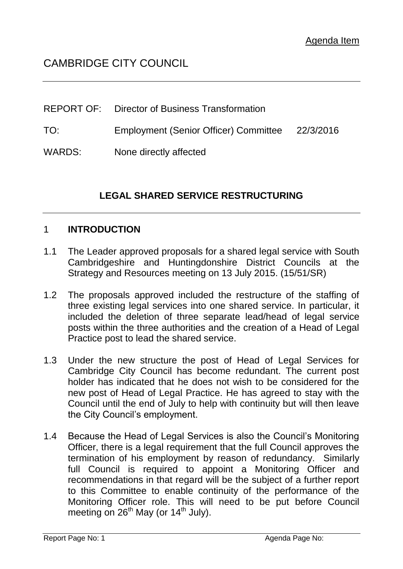# CAMBRIDGE CITY COUNCIL

|        | <b>REPORT OF:</b> Director of Business Transformation |  |
|--------|-------------------------------------------------------|--|
| TO:    | Employment (Senior Officer) Committee 22/3/2016       |  |
| WARDS: | None directly affected                                |  |

## **LEGAL SHARED SERVICE RESTRUCTURING**

#### 1 **INTRODUCTION**

- 1.1 The Leader approved proposals for a shared legal service with South Cambridgeshire and Huntingdonshire District Councils at the Strategy and Resources meeting on 13 July 2015. (15/51/SR)
- 1.2 The proposals approved included the restructure of the staffing of three existing legal services into one shared service. In particular, it included the deletion of three separate lead/head of legal service posts within the three authorities and the creation of a Head of Legal Practice post to lead the shared service.
- 1.3 Under the new structure the post of Head of Legal Services for Cambridge City Council has become redundant. The current post holder has indicated that he does not wish to be considered for the new post of Head of Legal Practice. He has agreed to stay with the Council until the end of July to help with continuity but will then leave the City Council's employment.
- 1.4 Because the Head of Legal Services is also the Council's Monitoring Officer, there is a legal requirement that the full Council approves the termination of his employment by reason of redundancy. Similarly full Council is required to appoint a Monitoring Officer and recommendations in that regard will be the subject of a further report to this Committee to enable continuity of the performance of the Monitoring Officer role. This will need to be put before Council meeting on  $26<sup>th</sup>$  May (or 14<sup>th</sup> July).